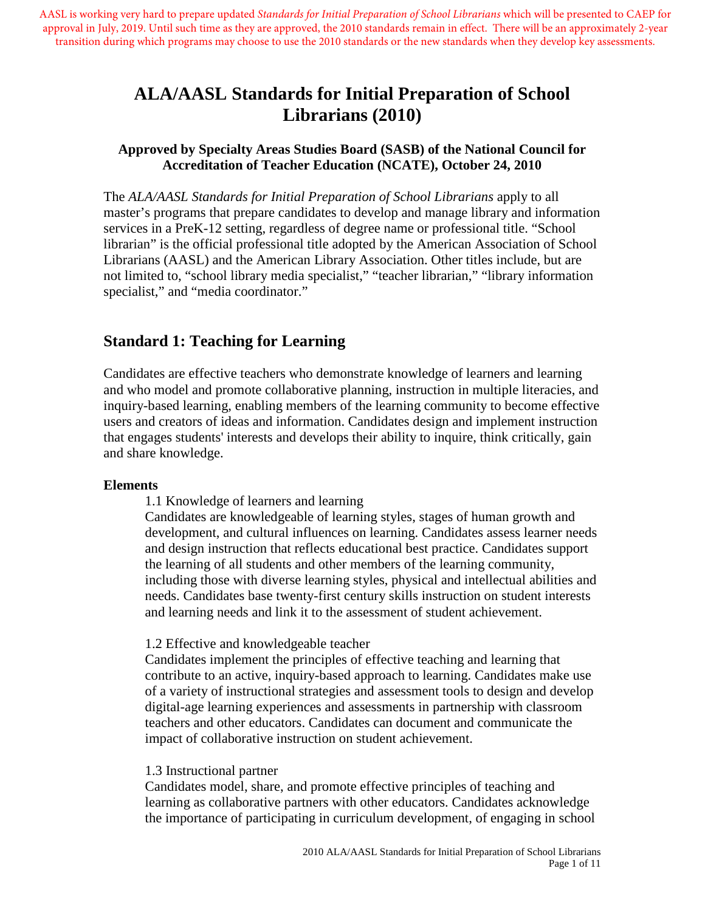AASL is working very hard to prepare updated *Standards for Initial Preparation of School Librarians* which will be presented to CAEP for approval in July, 2019. Until such time as they are approved, the 2010 standards remain in effect. There will be an approximately 2-year transition during which programs may choose to use the 2010 standards or the new standards when they develop key assessments.

# **ALA/AASL Standards for Initial Preparation of School Librarians (2010)**

### **Approved by Specialty Areas Studies Board (SASB) of the National Council for Accreditation of Teacher Education (NCATE), October 24, 2010**

The *ALA/AASL Standards for Initial Preparation of School Librarians* apply to all master's programs that prepare candidates to develop and manage library and information services in a PreK-12 setting, regardless of degree name or professional title. "School librarian" is the official professional title adopted by the American Association of School Librarians (AASL) and the American Library Association. Other titles include, but are not limited to, "school library media specialist," "teacher librarian," "library information specialist," and "media coordinator."

## **Standard 1: Teaching for Learning**

Candidates are effective teachers who demonstrate knowledge of learners and learning and who model and promote collaborative planning, instruction in multiple literacies, and inquiry-based learning, enabling members of the learning community to become effective users and creators of ideas and information. Candidates design and implement instruction that engages students' interests and develops their ability to inquire, think critically, gain and share knowledge.

### **Elements**

1.1 Knowledge of learners and learning

Candidates are knowledgeable of learning styles, stages of human growth and development, and cultural influences on learning. Candidates assess learner needs and design instruction that reflects educational best practice. Candidates support the learning of all students and other members of the learning community, including those with diverse learning styles, physical and intellectual abilities and needs. Candidates base twenty-first century skills instruction on student interests and learning needs and link it to the assessment of student achievement.

### 1.2 Effective and knowledgeable teacher

Candidates implement the principles of effective teaching and learning that contribute to an active, inquiry-based approach to learning. Candidates make use of a variety of instructional strategies and assessment tools to design and develop digital-age learning experiences and assessments in partnership with classroom teachers and other educators. Candidates can document and communicate the impact of collaborative instruction on student achievement.

### 1.3 Instructional partner

Candidates model, share, and promote effective principles of teaching and learning as collaborative partners with other educators. Candidates acknowledge the importance of participating in curriculum development, of engaging in school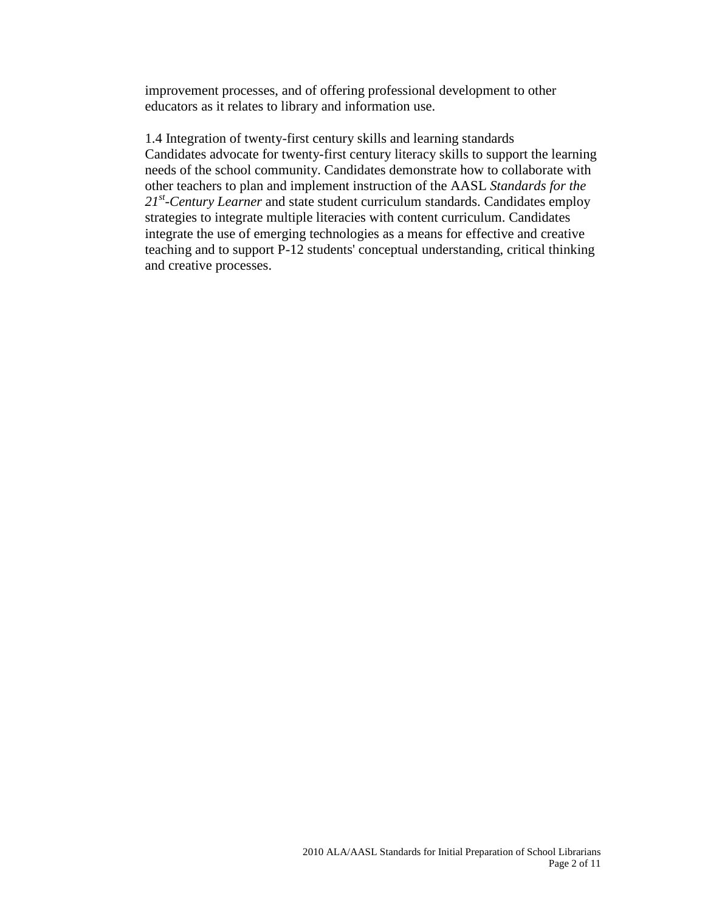improvement processes, and of offering professional development to other educators as it relates to library and information use.

1.4 Integration of twenty-first century skills and learning standards Candidates advocate for twenty-first century literacy skills to support the learning needs of the school community. Candidates demonstrate how to collaborate with other teachers to plan and implement instruction of the AASL *Standards for the 21st-Century Learner* and state student curriculum standards. Candidates employ strategies to integrate multiple literacies with content curriculum. Candidates integrate the use of emerging technologies as a means for effective and creative teaching and to support P-12 students' conceptual understanding, critical thinking and creative processes.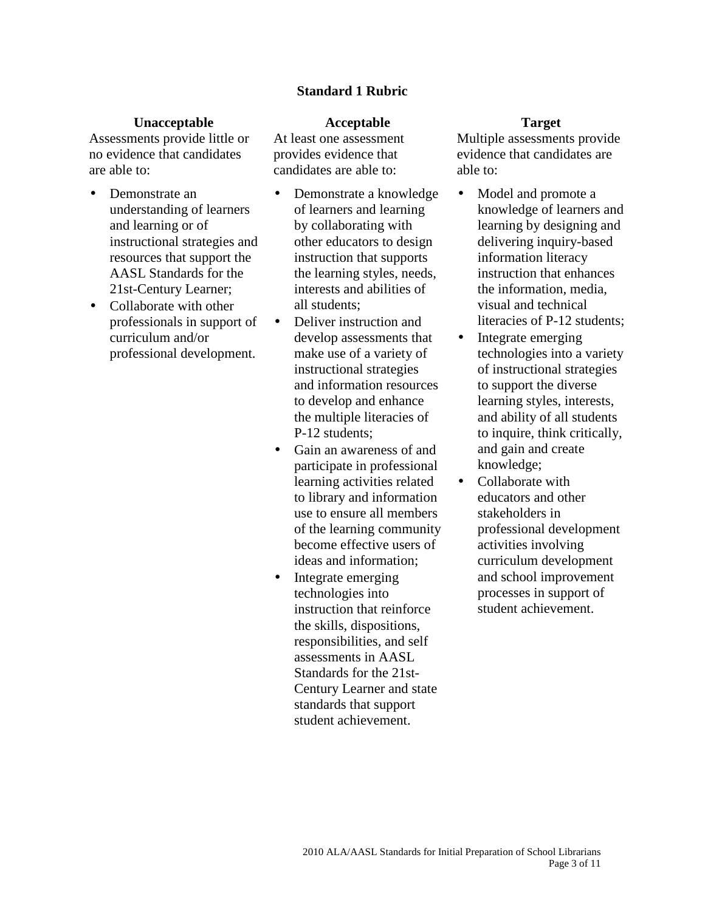### **Standard 1 Rubric**

#### **Unacceptable Acceptable Target**

Assessments provide little or no evidence that candidates are able to:

- Demonstrate an understanding of learners and learning or of instructional strategies and resources that support the AASL Standards for the 21st-Century Learner;
- Collaborate with other professionals in support of curriculum and/or professional development.

At least one assessment provides evidence that candidates are able to:

- Demonstrate a knowledge of learners and learning by collaborating with other educators to design instruction that supports the learning styles, needs, interests and abilities of all students;
- Deliver instruction and develop assessments that make use of a variety of instructional strategies and information resources to develop and enhance the multiple literacies of P-12 students;
- Gain an awareness of and participate in professional learning activities related to library and information use to ensure all members of the learning community become effective users of ideas and information;
- Integrate emerging technologies into instruction that reinforce the skills, dispositions, responsibilities, and self assessments in AASL Standards for the 21st-Century Learner and state standards that support student achievement.

- Model and promote a knowledge of learners and learning by designing and delivering inquiry-based information literacy instruction that enhances the information, media, visual and technical literacies of P-12 students;
- Integrate emerging technologies into a variety of instructional strategies to support the diverse learning styles, interests, and ability of all students to inquire, think critically, and gain and create knowledge;
- Collaborate with educators and other stakeholders in professional development activities involving curriculum development and school improvement processes in support of student achievement.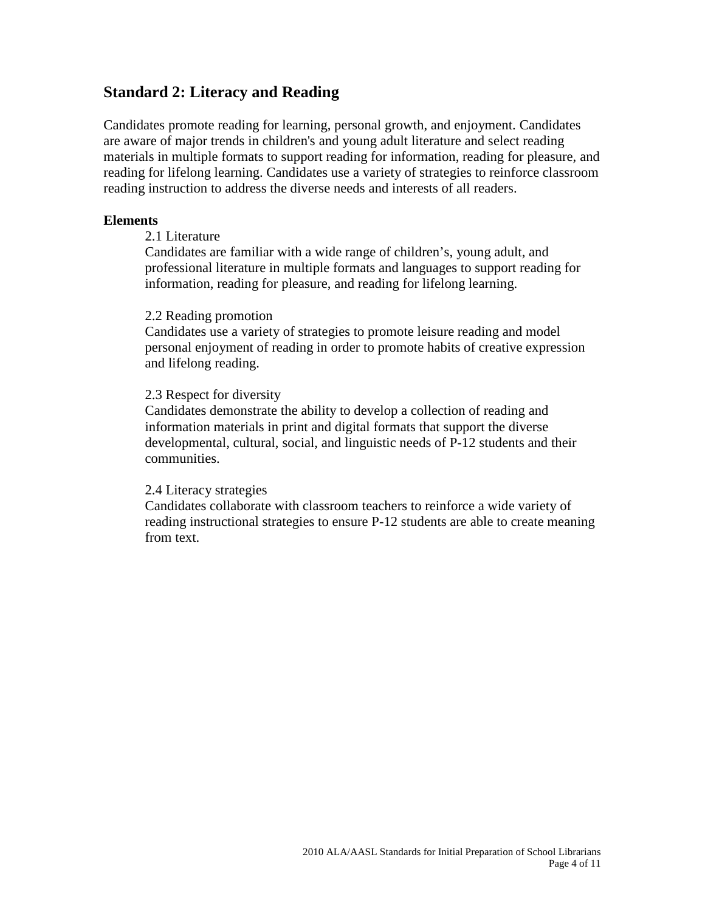## **Standard 2: Literacy and Reading**

Candidates promote reading for learning, personal growth, and enjoyment. Candidates are aware of major trends in children's and young adult literature and select reading materials in multiple formats to support reading for information, reading for pleasure, and reading for lifelong learning. Candidates use a variety of strategies to reinforce classroom reading instruction to address the diverse needs and interests of all readers.

#### **Elements**

### 2.1 Literature

Candidates are familiar with a wide range of children's, young adult, and professional literature in multiple formats and languages to support reading for information, reading for pleasure, and reading for lifelong learning.

#### 2.2 Reading promotion

Candidates use a variety of strategies to promote leisure reading and model personal enjoyment of reading in order to promote habits of creative expression and lifelong reading.

#### 2.3 Respect for diversity

Candidates demonstrate the ability to develop a collection of reading and information materials in print and digital formats that support the diverse developmental, cultural, social, and linguistic needs of P-12 students and their communities.

#### 2.4 Literacy strategies

Candidates collaborate with classroom teachers to reinforce a wide variety of reading instructional strategies to ensure P-12 students are able to create meaning from text.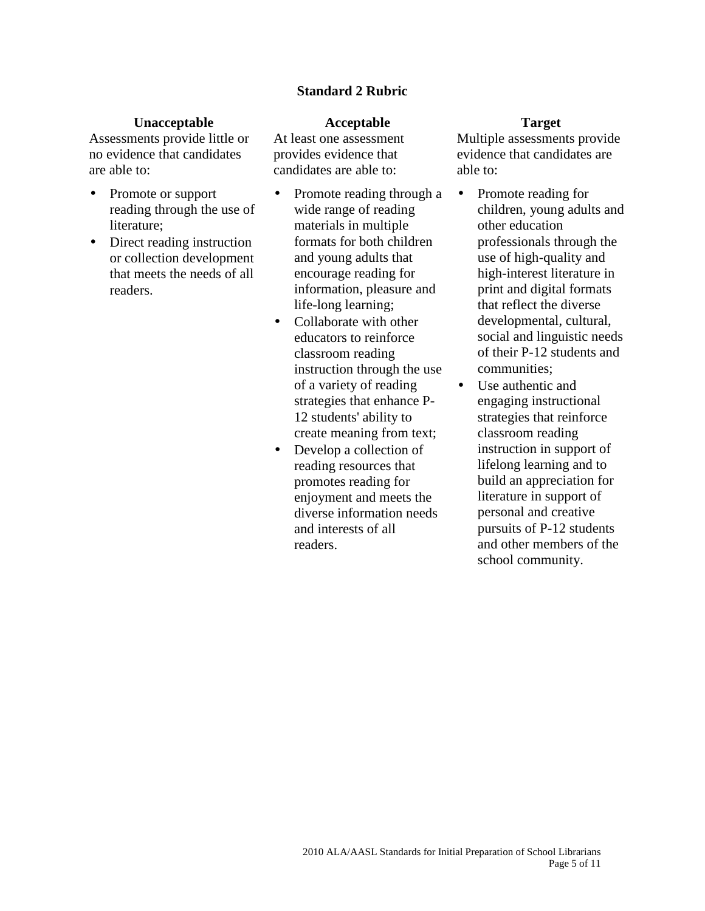### **Standard 2 Rubric**

#### **Unacceptable Acceptable Target**

Assessments provide little or no evidence that candidates are able to:

- Promote or support reading through the use of literature;
- Direct reading instruction or collection development that meets the needs of all readers.

At least one assessment provides evidence that candidates are able to:

- Promote reading through a wide range of reading materials in multiple formats for both children and young adults that encourage reading for information, pleasure and life-long learning;
- Collaborate with other educators to reinforce classroom reading instruction through the use of a variety of reading strategies that enhance P-12 students' ability to create meaning from text;
- Develop a collection of reading resources that promotes reading for enjoyment and meets the diverse information needs and interests of all readers.

- Promote reading for children, young adults and other education professionals through the use of high-quality and high-interest literature in print and digital formats that reflect the diverse developmental, cultural, social and linguistic needs of their P-12 students and communities;
- Use authentic and engaging instructional strategies that reinforce classroom reading instruction in support of lifelong learning and to build an appreciation for literature in support of personal and creative pursuits of P-12 students and other members of the school community.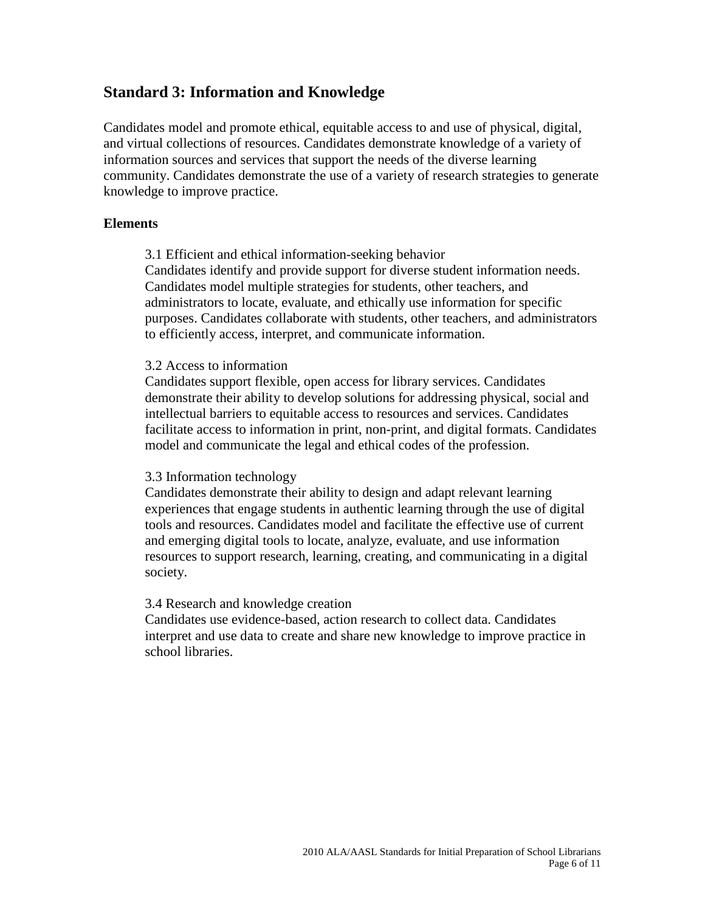## **Standard 3: Information and Knowledge**

Candidates model and promote ethical, equitable access to and use of physical, digital, and virtual collections of resources. Candidates demonstrate knowledge of a variety of information sources and services that support the needs of the diverse learning community. Candidates demonstrate the use of a variety of research strategies to generate knowledge to improve practice.

#### **Elements**

3.1 Efficient and ethical information-seeking behavior

Candidates identify and provide support for diverse student information needs. Candidates model multiple strategies for students, other teachers, and administrators to locate, evaluate, and ethically use information for specific purposes. Candidates collaborate with students, other teachers, and administrators to efficiently access, interpret, and communicate information.

#### 3.2 Access to information

Candidates support flexible, open access for library services. Candidates demonstrate their ability to develop solutions for addressing physical, social and intellectual barriers to equitable access to resources and services. Candidates facilitate access to information in print, non-print, and digital formats. Candidates model and communicate the legal and ethical codes of the profession.

### 3.3 Information technology

Candidates demonstrate their ability to design and adapt relevant learning experiences that engage students in authentic learning through the use of digital tools and resources. Candidates model and facilitate the effective use of current and emerging digital tools to locate, analyze, evaluate, and use information resources to support research, learning, creating, and communicating in a digital society.

#### 3.4 Research and knowledge creation

Candidates use evidence-based, action research to collect data. Candidates interpret and use data to create and share new knowledge to improve practice in school libraries.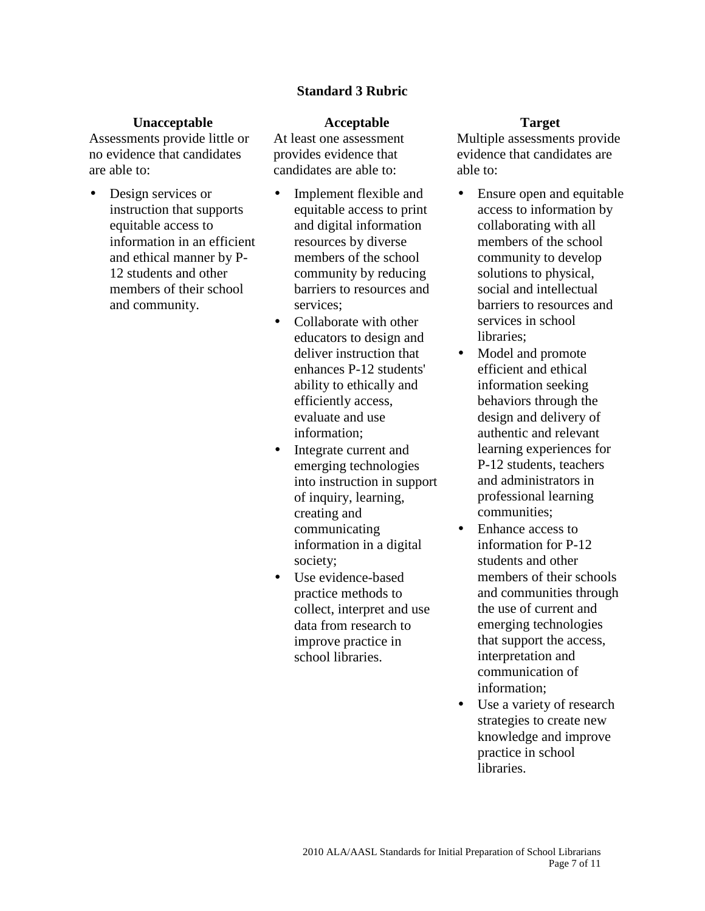### **Standard 3 Rubric**

#### **Unacceptable Acceptable Target**

Assessments provide little or no evidence that candidates are able to:

• Design services or instruction that supports equitable access to information in an efficient and ethical manner by P-12 students and other members of their school and community.

At least one assessment provides evidence that candidates are able to:

- Implement flexible and equitable access to print and digital information resources by diverse members of the school community by reducing barriers to resources and services;
- Collaborate with other educators to design and deliver instruction that enhances P-12 students' ability to ethically and efficiently access, evaluate and use information;
- Integrate current and emerging technologies into instruction in support of inquiry, learning, creating and communicating information in a digital society;
- Use evidence-based practice methods to collect, interpret and use data from research to improve practice in school libraries.

- Ensure open and equitable access to information by collaborating with all members of the school community to develop solutions to physical, social and intellectual barriers to resources and services in school libraries;
- Model and promote efficient and ethical information seeking behaviors through the design and delivery of authentic and relevant learning experiences for P-12 students, teachers and administrators in professional learning communities;
- Enhance access to information for P-12 students and other members of their schools and communities through the use of current and emerging technologies that support the access, interpretation and communication of information;
- Use a variety of research strategies to create new knowledge and improve practice in school libraries.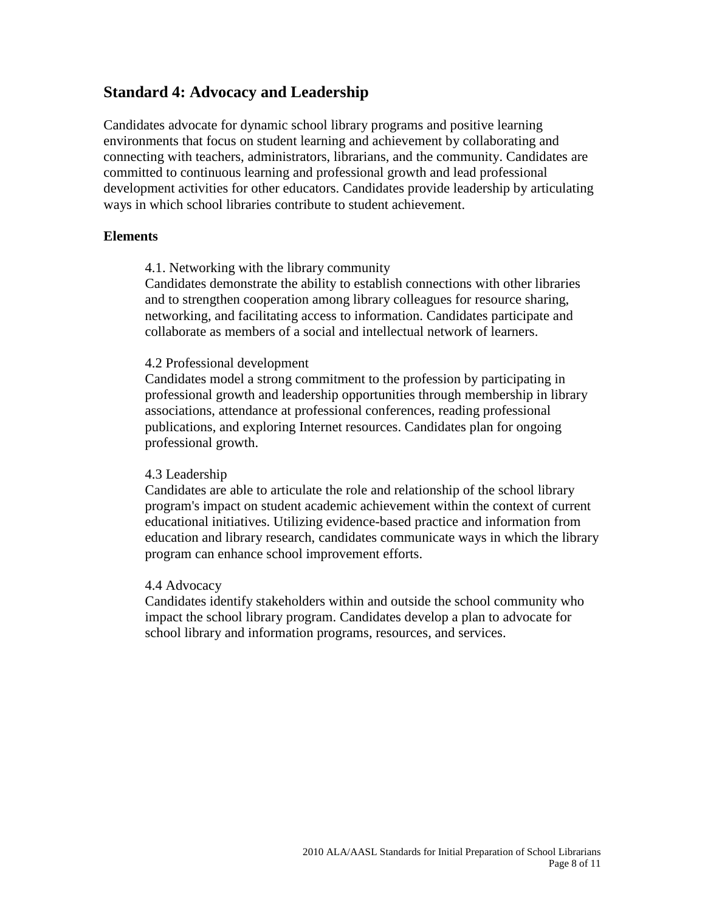## **Standard 4: Advocacy and Leadership**

Candidates advocate for dynamic school library programs and positive learning environments that focus on student learning and achievement by collaborating and connecting with teachers, administrators, librarians, and the community. Candidates are committed to continuous learning and professional growth and lead professional development activities for other educators. Candidates provide leadership by articulating ways in which school libraries contribute to student achievement.

#### **Elements**

4.1. Networking with the library community

Candidates demonstrate the ability to establish connections with other libraries and to strengthen cooperation among library colleagues for resource sharing, networking, and facilitating access to information. Candidates participate and collaborate as members of a social and intellectual network of learners.

#### 4.2 Professional development

Candidates model a strong commitment to the profession by participating in professional growth and leadership opportunities through membership in library associations, attendance at professional conferences, reading professional publications, and exploring Internet resources. Candidates plan for ongoing professional growth.

### 4.3 Leadership

Candidates are able to articulate the role and relationship of the school library program's impact on student academic achievement within the context of current educational initiatives. Utilizing evidence-based practice and information from education and library research, candidates communicate ways in which the library program can enhance school improvement efforts.

### 4.4 Advocacy

Candidates identify stakeholders within and outside the school community who impact the school library program. Candidates develop a plan to advocate for school library and information programs, resources, and services.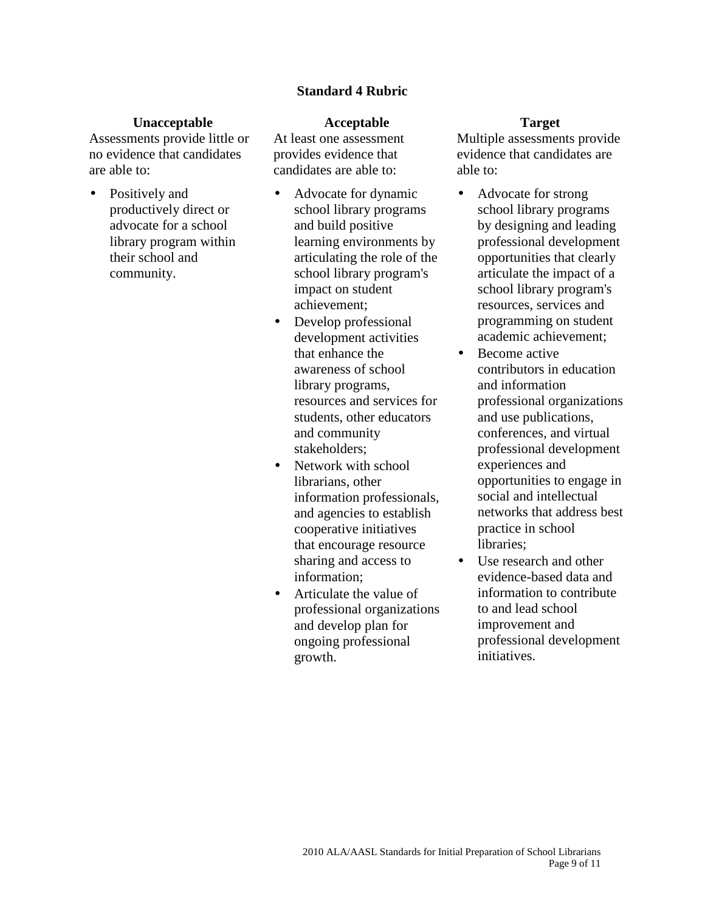### **Standard 4 Rubric**

#### **Unacceptable Acceptable Target**

Assessments provide little or no evidence that candidates are able to:

• Positively and productively direct or advocate for a school library program within their school and community.

At least one assessment provides evidence that candidates are able to:

- Advocate for dynamic school library programs and build positive learning environments by articulating the role of the school library program's impact on student achievement;
- Develop professional development activities that enhance the awareness of school library programs, resources and services for students, other educators and community stakeholders;
- Network with school librarians, other information professionals, and agencies to establish cooperative initiatives that encourage resource sharing and access to information;
- Articulate the value of professional organizations and develop plan for ongoing professional growth.

- Advocate for strong school library programs by designing and leading professional development opportunities that clearly articulate the impact of a school library program's resources, services and programming on student academic achievement;
- Become active contributors in education and information professional organizations and use publications, conferences, and virtual professional development experiences and opportunities to engage in social and intellectual networks that address best practice in school libraries;
- Use research and other evidence-based data and information to contribute to and lead school improvement and professional development initiatives.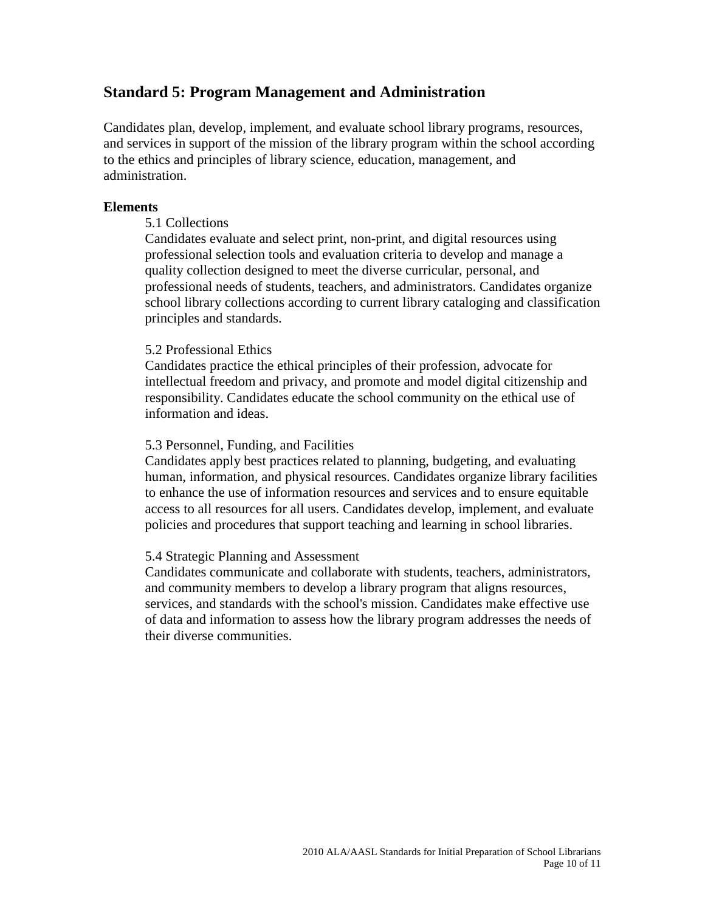## **Standard 5: Program Management and Administration**

Candidates plan, develop, implement, and evaluate school library programs, resources, and services in support of the mission of the library program within the school according to the ethics and principles of library science, education, management, and administration.

### **Elements**

### 5.1 Collections

Candidates evaluate and select print, non-print, and digital resources using professional selection tools and evaluation criteria to develop and manage a quality collection designed to meet the diverse curricular, personal, and professional needs of students, teachers, and administrators. Candidates organize school library collections according to current library cataloging and classification principles and standards.

### 5.2 Professional Ethics

Candidates practice the ethical principles of their profession, advocate for intellectual freedom and privacy, and promote and model digital citizenship and responsibility. Candidates educate the school community on the ethical use of information and ideas.

### 5.3 Personnel, Funding, and Facilities

Candidates apply best practices related to planning, budgeting, and evaluating human, information, and physical resources. Candidates organize library facilities to enhance the use of information resources and services and to ensure equitable access to all resources for all users. Candidates develop, implement, and evaluate policies and procedures that support teaching and learning in school libraries.

### 5.4 Strategic Planning and Assessment

Candidates communicate and collaborate with students, teachers, administrators, and community members to develop a library program that aligns resources, services, and standards with the school's mission. Candidates make effective use of data and information to assess how the library program addresses the needs of their diverse communities.